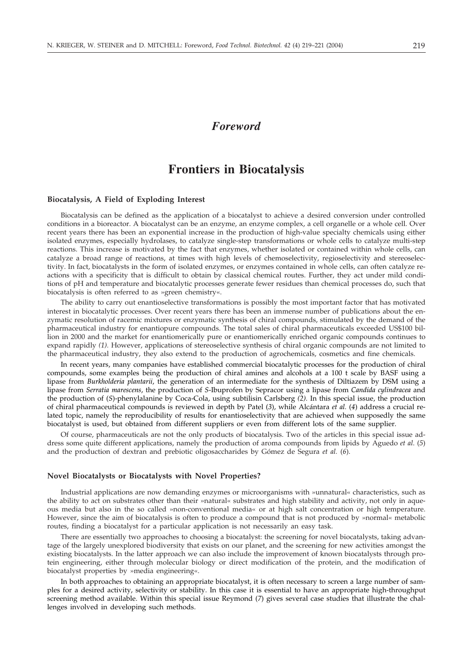## *Foreword*

# **Frontiers in Biocatalysis**

## **Biocatalysis, A Field of Exploding Interest**

Biocatalysis can be defined as the application of a biocatalyst to achieve a desired conversion under controlled conditions in a bioreactor. A biocatalyst can be an enzyme, an enzyme complex, a cell organelle or a whole cell. Over recent years there has been an exponential increase in the production of high-value specialty chemicals using either isolated enzymes, especially hydrolases, to catalyze single-step transformations or whole cells to catalyze multi-step reactions. This increase is motivated by the fact that enzymes, whether isolated or contained within whole cells, can catalyze a broad range of reactions, at times with high levels of chemoselectivity, regioselectivity and stereoselectivity. In fact, biocatalysts in the form of isolated enzymes, or enzymes contained in whole cells, can often catalyze reactions with a specificity that is difficult to obtain by classical chemical routes. Further, they act under mild conditions of pH and temperature and biocatalytic processes generate fewer residues than chemical processes do, such that biocatalysis is often referred to as »green chemistry«.

The ability to carry out enantioselective transformations is possibly the most important factor that has motivated interest in biocatalytic processes. Over recent years there has been an immense number of publications about the enzymatic resolution of racemic mixtures or enzymatic synthesis of chiral compounds, stimulated by the demand of the pharmaceutical industry for enantiopure compounds. The total sales of chiral pharmaceuticals exceeded US\$100 billion in 2000 and the market for enantiomerically pure or enantiomerically enriched organic compounds continues to expand rapidly *(1).* However, applications of stereoselective synthesis of chiral organic compounds are not limited to the pharmaceutical industry, they also extend to the production of agrochemicals, cosmetics and fine chemicals.

In recent years, many companies have established commercial biocatalytic processes for the production of chiral compounds, some examples being the production of chiral amines and alcohols at a 100 t scale by BASF using a lipase from *Burkholderia plantarii*, the generation of an intermediate for the synthesis of Diltiazem by DSM using a lipase from *Serratia marescens*, the production of *S*-Ibuprofen by Sepracor using a lipase from *Candida cylindracea* and the production of (*S*)-phenylalanine by Coca-Cola, using subtilisin Carlsberg *(2).* In this special issue, the production of chiral pharmaceutical compounds is reviewed in depth by Patel (*3*), while Alcántara *et al.* (*4*) address a crucial related topic, namely the reproducibility of results for enantioselectivity that are achieved when supposedly the same biocatalyst is used, but obtained from different suppliers or even from different lots of the same supplier.

Of course, pharmaceuticals are not the only products of biocatalysis. Two of the articles in this special issue address some quite different applications, namely the production of aroma compounds from lipids by Aguedo *et al*. (*5*) and the production of dextran and prebiotic oligosaccharides by Gómez de Segura *et al.* (*6*).

#### **Novel Biocatalysts or Biocatalysts with Novel Properties?**

Industrial applications are now demanding enzymes or microorganisms with »unnatural« characteristics, such as the ability to act on substrates other than their »natural« substrates and high stability and activity, not only in aqueous media but also in the so called »non-conventional media« or at high salt concentration or high temperature. However, since the aim of biocatalysis is often to produce a compound that is not produced by »normal« metabolic routes, finding a biocatalyst for a particular application is not necessarily an easy task.

There are essentially two approaches to choosing a biocatalyst: the screening for novel biocatalysts, taking advantage of the largely unexplored biodiversity that exists on our planet, and the screening for new activities amongst the existing biocatalysts. In the latter approach we can also include the improvement of known biocatalysts through protein engineering, either through molecular biology or direct modification of the protein, and the modification of biocatalyst properties by »media engineering«.

In both approaches to obtaining an appropriate biocatalyst, it is often necessary to screen a large number of samples for a desired activity, selectivity or stability. In this case it is essential to have an appropriate high-throughput screening method available. Within this special issue Reymond (*7*) gives several case studies that illustrate the challenges involved in developing such methods.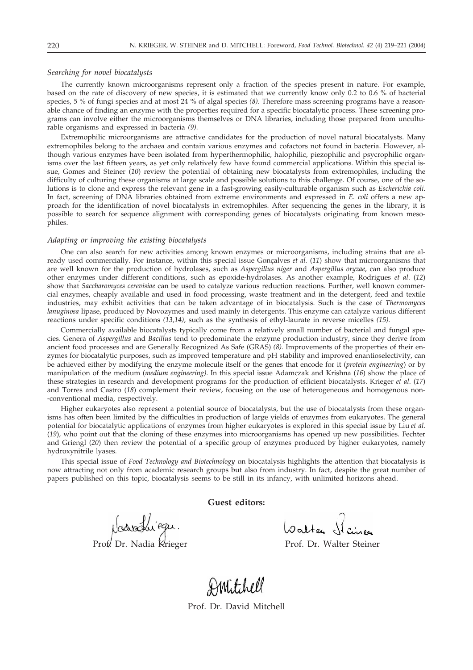## *Searching for novel biocatalysts*

The currently known microorganisms represent only a fraction of the species present in nature. For example, based on the rate of discovery of new species, it is estimated that we currently know only 0.2 to 0.6 % of bacterial species, 5 % of fungi species and at most 24 % of algal species *(8)*. Therefore mass screening programs have a reasonable chance of finding an enzyme with the properties required for a specific biocatalytic process. These screening programs can involve either the microorganisms themselves or DNA libraries, including those prepared from unculturable organisms and expressed in bacteria *(9).*

Extremophilic microorganisms are attractive candidates for the production of novel natural biocatalysts. Many extremophiles belong to the archaea and contain various enzymes and cofactors not found in bacteria. However, although various enzymes have been isolated from hyperthermophilic, halophilic, piezophilic and psycrophilic organisms over the last fifteen years, as yet only relatively few have found commercial applications. Within this special issue, Gomes and Steiner (10) review the potential of obtaining new biocatalysts from extremophiles, including the difficulty of culturing these organisms at large scale and possible solutions to this challenge. Of course, one of the solutions is to clone and express the relevant gene in a fast-growing easily-culturable organism such as *Escherichia coli*. In fact, screening of DNA libraries obtained from extreme environments and expressed in *E. coli* offers a new approach for the identification of novel biocatalysts in extremophiles. After sequencing the genes in the library, it is possible to search for sequence alignment with corresponding genes of biocatalysts originating from known mesophiles.

## *Adapting or improving the existing biocatalysts*

One can also search for new activities among known enzymes or microorganisms, including strains that are already used commercially. For instance, within this special issue Gonçalves *et al.* (*11*) show that microorganisms that are well known for the production of hydrolases, such as *Aspergillus niger* and *Aspergillus oryzae*, can also produce other enzymes under different conditions, such as epoxide-hydrolases. As another example, Rodrigues *et al*. (*12*) show that *Saccharomyces cerevisiae* can be used to catalyze various reduction reactions. Further, well known commercial enzymes, cheaply available and used in food processing, waste treatment and in the detergent, feed and textile industries, may exhibit activities that can be taken advantage of in biocatalysis. Such is the case of *Thermomyces lanuginosa* lipase, produced by Novozymes and used mainly in detergents. This enzyme can catalyze various different reactions under specific conditions *(13,14),* such as the synthesis of ethyl-laurate in reverse micelles *(15).*

Commercially available biocatalysts typically come from a relatively small number of bacterial and fungal species. Genera of *Aspergillus* and *Bacillus* tend to predominate the enzyme production industry, since they derive from ancient food processes and are Generally Recognized As Safe (GRAS) *(8)*. Improvements of the properties of their enzymes for biocatalytic purposes, such as improved temperature and pH stability and improved enantioselectivity, can be achieved either by modifying the enzyme molecule itself or the genes that encode for it (*protein engineering*) or by manipulation of the medium (*medium engineering)*. In this special issue Adamczak and Krishna (*16*) show the place of these strategies in research and development programs for the production of efficient biocatalysts. Krieger *et al*. (*17*) and Torres and Castro (*18*) complement their review, focusing on the use of heterogeneous and homogenous non- -conventional media, respectively.

Higher eukaryotes also represent a potential source of biocatalysts, but the use of biocatalysts from these organisms has often been limited by the difficulties in production of large yields of enzymes from eukaryotes. The general potential for biocatalytic applications of enzymes from higher eukaryotes is explored in this special issue by Liu *et al.* (*19*), who point out that the cloning of these enzymes into microorganisms has opened up new possibilities. Fechter and Griengl (*20*) then review the potential of a specific group of enzymes produced by higher eukaryotes, namely hydroxynitrile lyases.

This special issue of *Food Technology and Biotechnology* on biocatalysis highlights the attention that biocatalysis is now attracting not only from academic research groups but also from industry. In fact, despite the great number of papers published on this topic, biocatalysis seems to be still in its infancy, with unlimited horizons ahead.

**Guest editors:**

Vodrahiegu. Walter Siener

Walter Heiner

Anritchell Prof. Dr. David Mitchell